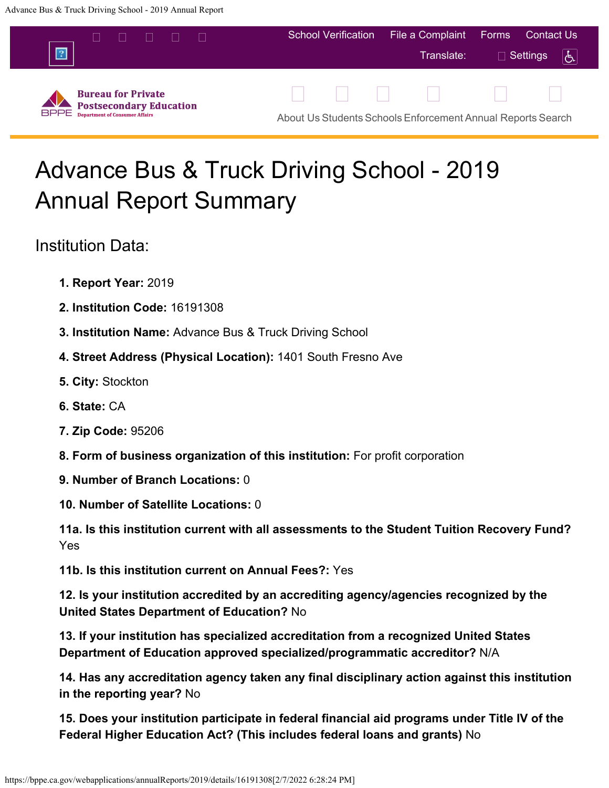<span id="page-0-0"></span>

# Advance Bus & Truck Driving School - 2019 Annual Report Summary

Institution Data:

- **1. Report Year:** 2019
- **2. Institution Code:** 16191308
- **3. Institution Name:** Advance Bus & Truck Driving School
- **4. Street Address (Physical Location):** 1401 South Fresno Ave
- **5. City:** Stockton
- **6. State:** CA
- **7. Zip Code:** 95206
- **8. Form of business organization of this institution:** For profit corporation
- **9. Number of Branch Locations:** 0
- **10. Number of Satellite Locations:** 0

**11a. Is this institution current with all assessments to the Student Tuition Recovery Fund?** Yes

**11b. Is this institution current on Annual Fees?:** Yes

**12. Is your institution accredited by an accrediting agency/agencies recognized by the United States Department of Education?** No

**13. If your institution has specialized accreditation from a recognized United States Department of Education approved specialized/programmatic accreditor?** N/A

**14. Has any accreditation agency taken any final disciplinary action against this institution in the reporting year?** No

**15. Does your institution participate in federal financial aid programs under Title IV of the Federal Higher Education Act? (This includes federal loans and grants)** No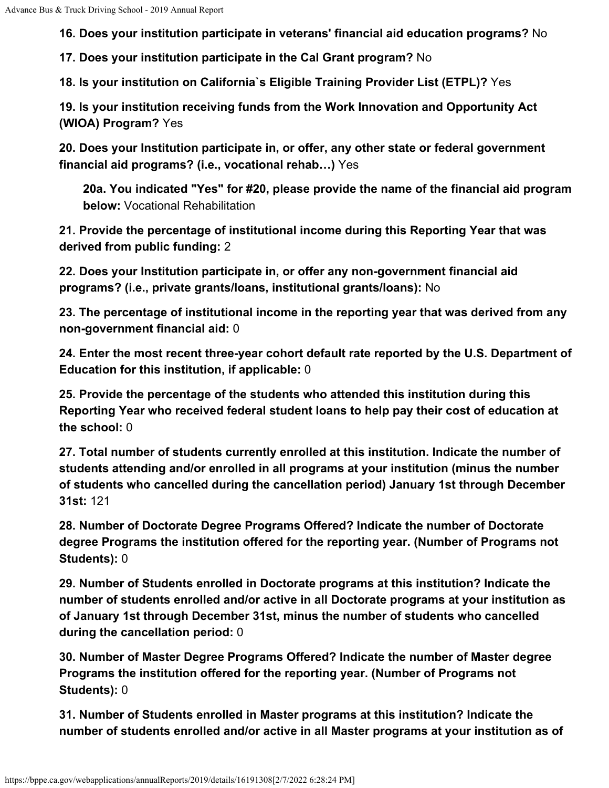**16. Does your institution participate in veterans' financial aid education programs?** No

**17. Does your institution participate in the Cal Grant program?** No

**18. Is your institution on California`s Eligible Training Provider List (ETPL)?** Yes

**19. Is your institution receiving funds from the Work Innovation and Opportunity Act (WIOA) Program?** Yes

**20. Does your Institution participate in, or offer, any other state or federal government financial aid programs? (i.e., vocational rehab…)** Yes

**20a. You indicated "Yes" for #20, please provide the name of the financial aid program below:** Vocational Rehabilitation

**21. Provide the percentage of institutional income during this Reporting Year that was derived from public funding:** 2

**22. Does your Institution participate in, or offer any non-government financial aid programs? (i.e., private grants/loans, institutional grants/loans):** No

**23. The percentage of institutional income in the reporting year that was derived from any non-government financial aid:** 0

**24. Enter the most recent three-year cohort default rate reported by the U.S. Department of Education for this institution, if applicable:** 0

**25. Provide the percentage of the students who attended this institution during this Reporting Year who received federal student loans to help pay their cost of education at the school:** 0

**27. Total number of students currently enrolled at this institution. Indicate the number of students attending and/or enrolled in all programs at your institution (minus the number of students who cancelled during the cancellation period) January 1st through December 31st:** 121

**28. Number of Doctorate Degree Programs Offered? Indicate the number of Doctorate degree Programs the institution offered for the reporting year. (Number of Programs not Students):** 0

**29. Number of Students enrolled in Doctorate programs at this institution? Indicate the number of students enrolled and/or active in all Doctorate programs at your institution as of January 1st through December 31st, minus the number of students who cancelled during the cancellation period:** 0

**30. Number of Master Degree Programs Offered? Indicate the number of Master degree Programs the institution offered for the reporting year. (Number of Programs not Students):** 0

**31. Number of Students enrolled in Master programs at this institution? Indicate the number of students enrolled and/or active in all Master programs at your institution as of**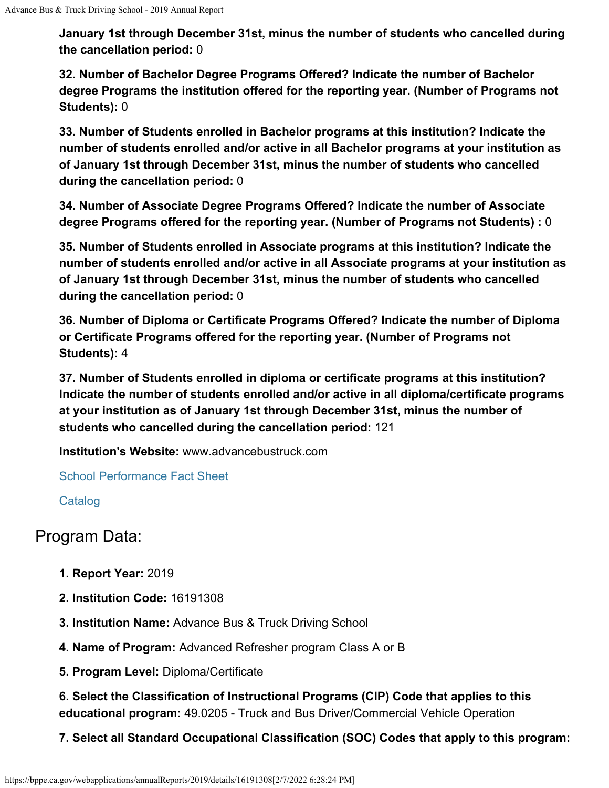**January 1st through December 31st, minus the number of students who cancelled during the cancellation period:** 0

**32. Number of Bachelor Degree Programs Offered? Indicate the number of Bachelor degree Programs the institution offered for the reporting year. (Number of Programs not Students):** 0

**33. Number of Students enrolled in Bachelor programs at this institution? Indicate the number of students enrolled and/or active in all Bachelor programs at your institution as of January 1st through December 31st, minus the number of students who cancelled during the cancellation period:** 0

**34. Number of Associate Degree Programs Offered? Indicate the number of Associate degree Programs offered for the reporting year. (Number of Programs not Students) :** 0

**35. Number of Students enrolled in Associate programs at this institution? Indicate the number of students enrolled and/or active in all Associate programs at your institution as of January 1st through December 31st, minus the number of students who cancelled during the cancellation period:** 0

**36. Number of Diploma or Certificate Programs Offered? Indicate the number of Diploma or Certificate Programs offered for the reporting year. (Number of Programs not Students):** 4

**37. Number of Students enrolled in diploma or certificate programs at this institution? Indicate the number of students enrolled and/or active in all diploma/certificate programs at your institution as of January 1st through December 31st, minus the number of students who cancelled during the cancellation period:** 121

**Institution's Website:** www.advancebustruck.com

[School Performance Fact Sheet](https://bppe.ca.gov/webapplications/annualReports/2019/document/1E662835-AACA-4C56-A63D-B5559DF2C707)

**[Catalog](https://bppe.ca.gov/webapplications/annualReports/2019/document/E9CFCF3D-E57C-4AB6-B347-AE4465FF9524)** 

# Program Data:

- **1. Report Year:** 2019
- **2. Institution Code:** 16191308
- **3. Institution Name:** Advance Bus & Truck Driving School
- **4. Name of Program:** Advanced Refresher program Class A or B
- **5. Program Level:** Diploma/Certificate

**6. Select the Classification of Instructional Programs (CIP) Code that applies to this educational program:** 49.0205 - Truck and Bus Driver/Commercial Vehicle Operation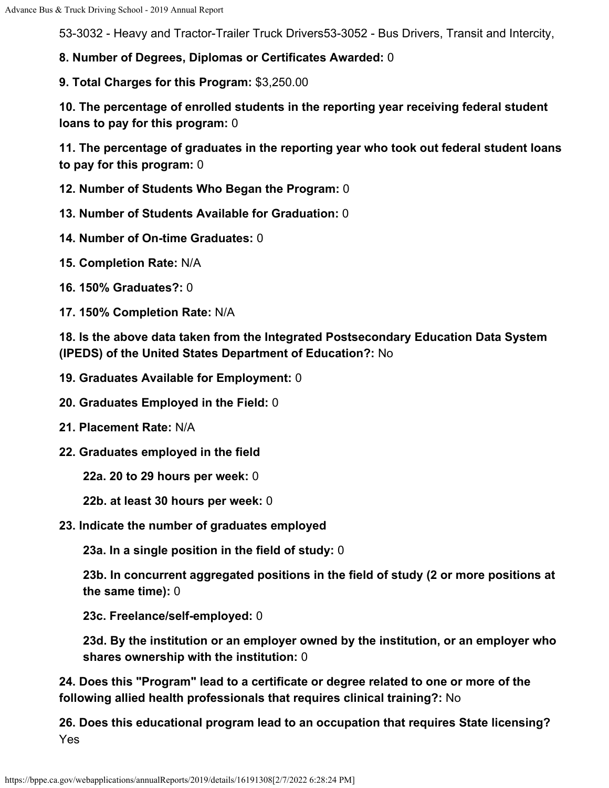53-3032 - Heavy and Tractor-Trailer Truck Drivers53-3052 - Bus Drivers, Transit and Intercity,

**8. Number of Degrees, Diplomas or Certificates Awarded:** 0

**9. Total Charges for this Program:** \$3,250.00

**10. The percentage of enrolled students in the reporting year receiving federal student loans to pay for this program:** 0

**11. The percentage of graduates in the reporting year who took out federal student loans to pay for this program:** 0

**12. Number of Students Who Began the Program:** 0

**13. Number of Students Available for Graduation:** 0

- **14. Number of On-time Graduates:** 0
- **15. Completion Rate:** N/A
- **16. 150% Graduates?:** 0
- **17. 150% Completion Rate:** N/A

**18. Is the above data taken from the Integrated Postsecondary Education Data System (IPEDS) of the United States Department of Education?:** No

- **19. Graduates Available for Employment:** 0
- **20. Graduates Employed in the Field:** 0
- **21. Placement Rate:** N/A
- **22. Graduates employed in the field**

**22a. 20 to 29 hours per week:** 0

- **22b. at least 30 hours per week:** 0
- **23. Indicate the number of graduates employed**

**23a. In a single position in the field of study:** 0

**23b. In concurrent aggregated positions in the field of study (2 or more positions at the same time):** 0

**23c. Freelance/self-employed:** 0

**23d. By the institution or an employer owned by the institution, or an employer who shares ownership with the institution:** 0

**24. Does this "Program" lead to a certificate or degree related to one or more of the following allied health professionals that requires clinical training?:** No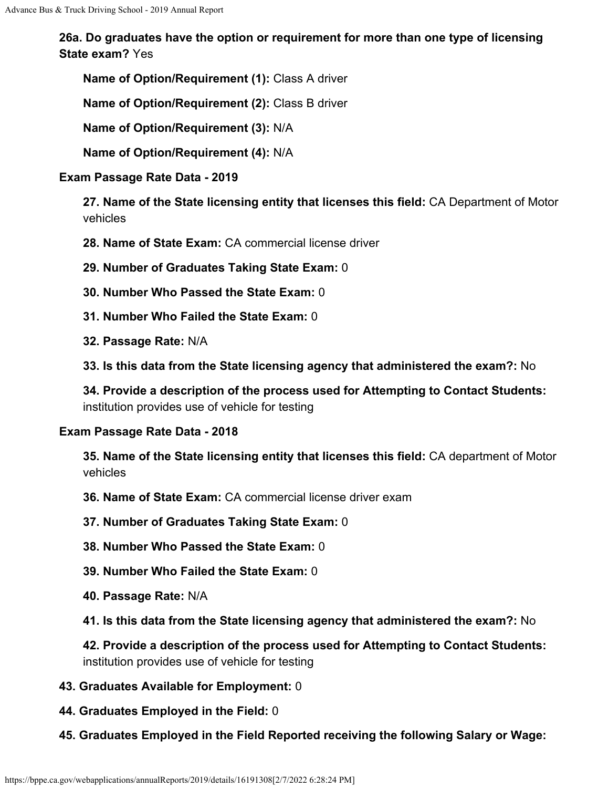**Name of Option/Requirement (1):** Class A driver

**Name of Option/Requirement (2):** Class B driver

**Name of Option/Requirement (3):** N/A

**Name of Option/Requirement (4):** N/A

## **Exam Passage Rate Data - 2019**

**27. Name of the State licensing entity that licenses this field:** CA Department of Motor vehicles

- **28. Name of State Exam:** CA commercial license driver
- **29. Number of Graduates Taking State Exam:** 0
- **30. Number Who Passed the State Exam:** 0
- **31. Number Who Failed the State Exam:** 0
- **32. Passage Rate:** N/A
- **33. Is this data from the State licensing agency that administered the exam?:** No

**34. Provide a description of the process used for Attempting to Contact Students:** institution provides use of vehicle for testing

#### **Exam Passage Rate Data - 2018**

**35. Name of the State licensing entity that licenses this field:** CA department of Motor vehicles

- **36. Name of State Exam:** CA commercial license driver exam
- **37. Number of Graduates Taking State Exam:** 0
- **38. Number Who Passed the State Exam:** 0
- **39. Number Who Failed the State Exam:** 0
- **40. Passage Rate:** N/A
- **41. Is this data from the State licensing agency that administered the exam?:** No

**42. Provide a description of the process used for Attempting to Contact Students:** institution provides use of vehicle for testing

- **43. Graduates Available for Employment:** 0
- **44. Graduates Employed in the Field:** 0
- **45. Graduates Employed in the Field Reported receiving the following Salary or Wage:**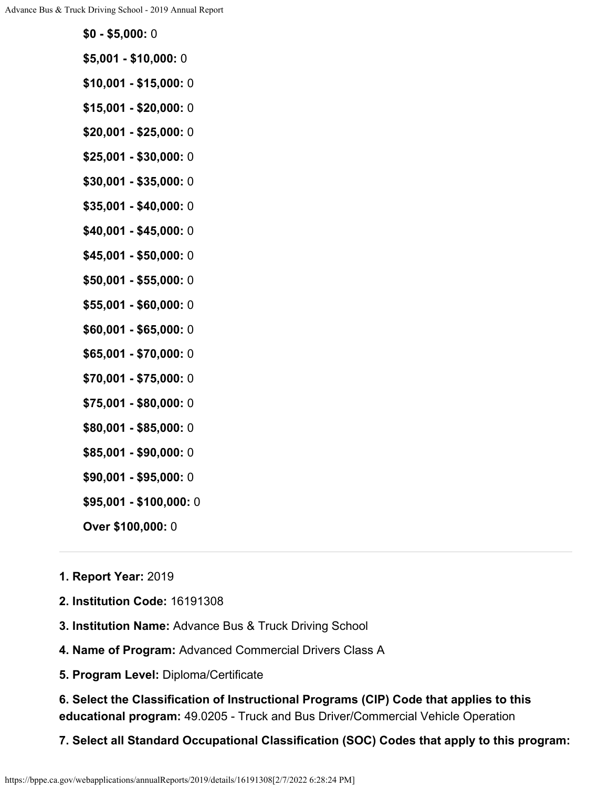- **\$5,001 \$10,000:** 0
- **\$10,001 \$15,000:** 0
- **\$15,001 \$20,000:** 0
- **\$20,001 \$25,000:** 0
- **\$25,001 \$30,000:** 0
- **\$30,001 \$35,000:** 0
- **\$35,001 \$40,000:** 0
- **\$40,001 \$45,000:** 0
- **\$45,001 \$50,000:** 0
- **\$50,001 \$55,000:** 0
- **\$55,001 \$60,000:** 0
- **\$60,001 \$65,000:** 0
- **\$65,001 \$70,000:** 0
- **\$70,001 \$75,000:** 0
- **\$75,001 \$80,000:** 0
- **\$80,001 \$85,000:** 0
- **\$85,001 \$90,000:** 0
- **\$90,001 \$95,000:** 0
- **\$95,001 \$100,000:** 0
- **Over \$100,000:** 0

#### **1. Report Year:** 2019

- **2. Institution Code:** 16191308
- **3. Institution Name:** Advance Bus & Truck Driving School
- **4. Name of Program:** Advanced Commercial Drivers Class A
- **5. Program Level:** Diploma/Certificate

**6. Select the Classification of Instructional Programs (CIP) Code that applies to this educational program:** 49.0205 - Truck and Bus Driver/Commercial Vehicle Operation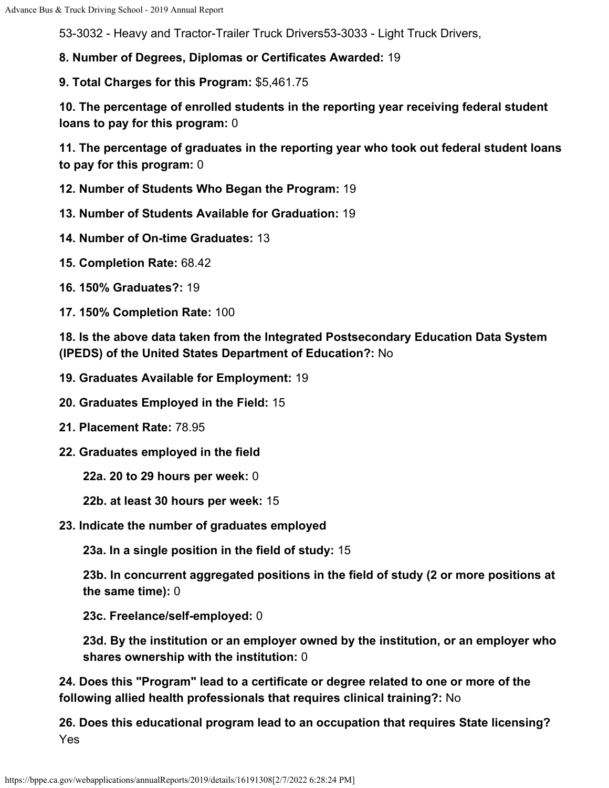53-3032 - Heavy and Tractor-Trailer Truck Drivers53-3033 - Light Truck Drivers,

**8. Number of Degrees, Diplomas or Certificates Awarded:** 19

**9. Total Charges for this Program:** \$5,461.75

**10. The percentage of enrolled students in the reporting year receiving federal student loans to pay for this program:** 0

**11. The percentage of graduates in the reporting year who took out federal student loans to pay for this program:** 0

**12. Number of Students Who Began the Program:** 19

**13. Number of Students Available for Graduation:** 19

- **14. Number of On-time Graduates:** 13
- **15. Completion Rate:** 68.42
- **16. 150% Graduates?:** 19
- **17. 150% Completion Rate:** 100

**18. Is the above data taken from the Integrated Postsecondary Education Data System (IPEDS) of the United States Department of Education?:** No

- **19. Graduates Available for Employment:** 19
- **20. Graduates Employed in the Field:** 15
- **21. Placement Rate:** 78.95
- **22. Graduates employed in the field**

**22a. 20 to 29 hours per week:** 0

- **22b. at least 30 hours per week:** 15
- **23. Indicate the number of graduates employed**

**23a. In a single position in the field of study:** 15

**23b. In concurrent aggregated positions in the field of study (2 or more positions at the same time):** 0

**23c. Freelance/self-employed:** 0

**23d. By the institution or an employer owned by the institution, or an employer who shares ownership with the institution:** 0

**24. Does this "Program" lead to a certificate or degree related to one or more of the following allied health professionals that requires clinical training?:** No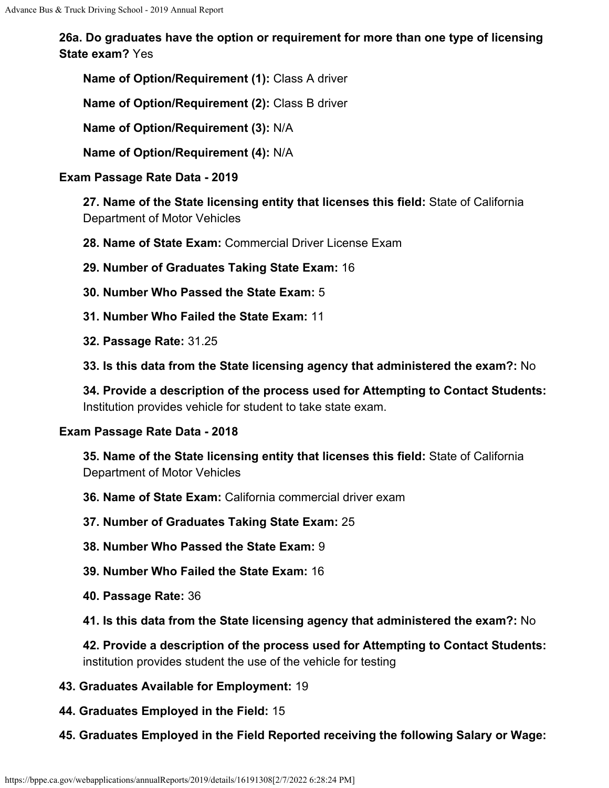**Name of Option/Requirement (1):** Class A driver

**Name of Option/Requirement (2):** Class B driver

**Name of Option/Requirement (3):** N/A

**Name of Option/Requirement (4):** N/A

## **Exam Passage Rate Data - 2019**

**27. Name of the State licensing entity that licenses this field:** State of California Department of Motor Vehicles

**28. Name of State Exam:** Commercial Driver License Exam

**29. Number of Graduates Taking State Exam:** 16

- **30. Number Who Passed the State Exam:** 5
- **31. Number Who Failed the State Exam:** 11
- **32. Passage Rate:** 31.25

**33. Is this data from the State licensing agency that administered the exam?:** No

**34. Provide a description of the process used for Attempting to Contact Students:** Institution provides vehicle for student to take state exam.

#### **Exam Passage Rate Data - 2018**

**35. Name of the State licensing entity that licenses this field:** State of California Department of Motor Vehicles

- **36. Name of State Exam:** California commercial driver exam
- **37. Number of Graduates Taking State Exam:** 25
- **38. Number Who Passed the State Exam:** 9
- **39. Number Who Failed the State Exam:** 16
- **40. Passage Rate:** 36
- **41. Is this data from the State licensing agency that administered the exam?:** No

**42. Provide a description of the process used for Attempting to Contact Students:** institution provides student the use of the vehicle for testing

- **43. Graduates Available for Employment:** 19
- **44. Graduates Employed in the Field:** 15
- **45. Graduates Employed in the Field Reported receiving the following Salary or Wage:**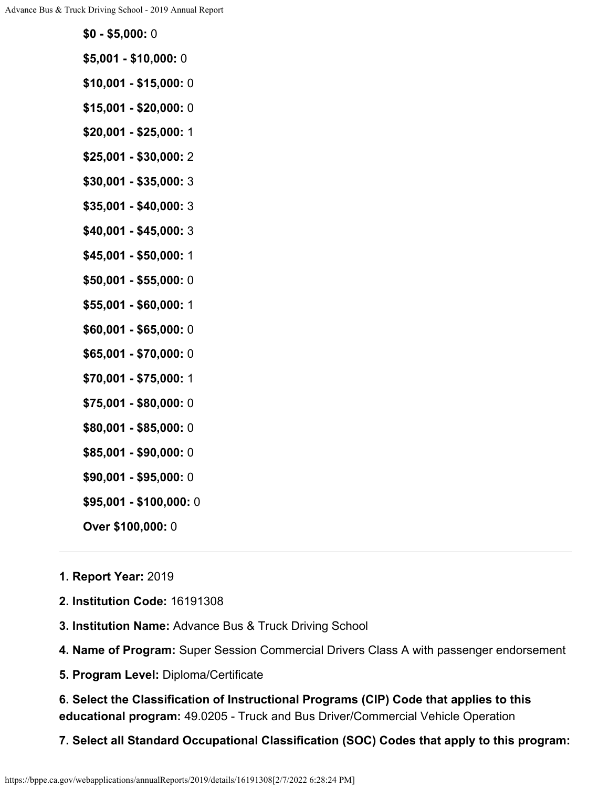- **\$5,001 \$10,000:** 0
- **\$10,001 \$15,000:** 0
- **\$15,001 \$20,000:** 0
- **\$20,001 \$25,000:** 1
- **\$25,001 \$30,000:** 2
- **\$30,001 \$35,000:** 3
- **\$35,001 \$40,000:** 3
- **\$40,001 \$45,000:** 3
- **\$45,001 \$50,000:** 1
- **\$50,001 \$55,000:** 0
- **\$55,001 \$60,000:** 1
- **\$60,001 \$65,000:** 0
- **\$65,001 \$70,000:** 0
- **\$70,001 \$75,000:** 1
- **\$75,001 \$80,000:** 0
- **\$80,001 \$85,000:** 0
- **\$85,001 \$90,000:** 0
- **\$90,001 \$95,000:** 0
- **\$95,001 \$100,000:** 0
- **Over \$100,000:** 0

#### **1. Report Year:** 2019

- **2. Institution Code:** 16191308
- **3. Institution Name:** Advance Bus & Truck Driving School
- **4. Name of Program:** Super Session Commercial Drivers Class A with passenger endorsement
- **5. Program Level:** Diploma/Certificate

**6. Select the Classification of Instructional Programs (CIP) Code that applies to this educational program:** 49.0205 - Truck and Bus Driver/Commercial Vehicle Operation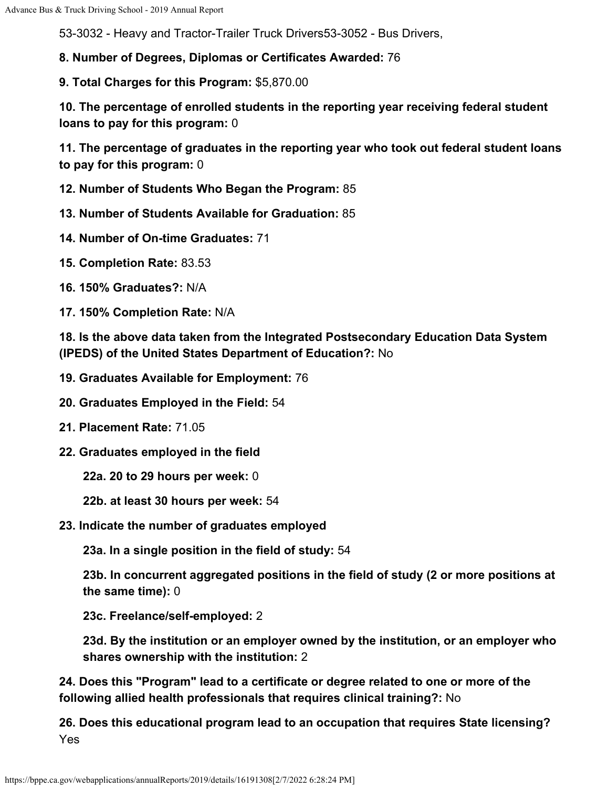53-3032 - Heavy and Tractor-Trailer Truck Drivers53-3052 - Bus Drivers,

**8. Number of Degrees, Diplomas or Certificates Awarded:** 76

**9. Total Charges for this Program:** \$5,870.00

**10. The percentage of enrolled students in the reporting year receiving federal student loans to pay for this program:** 0

**11. The percentage of graduates in the reporting year who took out federal student loans to pay for this program:** 0

**12. Number of Students Who Began the Program:** 85

**13. Number of Students Available for Graduation:** 85

- **14. Number of On-time Graduates:** 71
- **15. Completion Rate:** 83.53
- **16. 150% Graduates?:** N/A
- **17. 150% Completion Rate:** N/A

**18. Is the above data taken from the Integrated Postsecondary Education Data System (IPEDS) of the United States Department of Education?:** No

- **19. Graduates Available for Employment:** 76
- **20. Graduates Employed in the Field:** 54
- **21. Placement Rate:** 71.05
- **22. Graduates employed in the field**

**22a. 20 to 29 hours per week:** 0

- **22b. at least 30 hours per week:** 54
- **23. Indicate the number of graduates employed**

**23a. In a single position in the field of study:** 54

**23b. In concurrent aggregated positions in the field of study (2 or more positions at the same time):** 0

**23c. Freelance/self-employed:** 2

**23d. By the institution or an employer owned by the institution, or an employer who shares ownership with the institution:** 2

**24. Does this "Program" lead to a certificate or degree related to one or more of the following allied health professionals that requires clinical training?:** No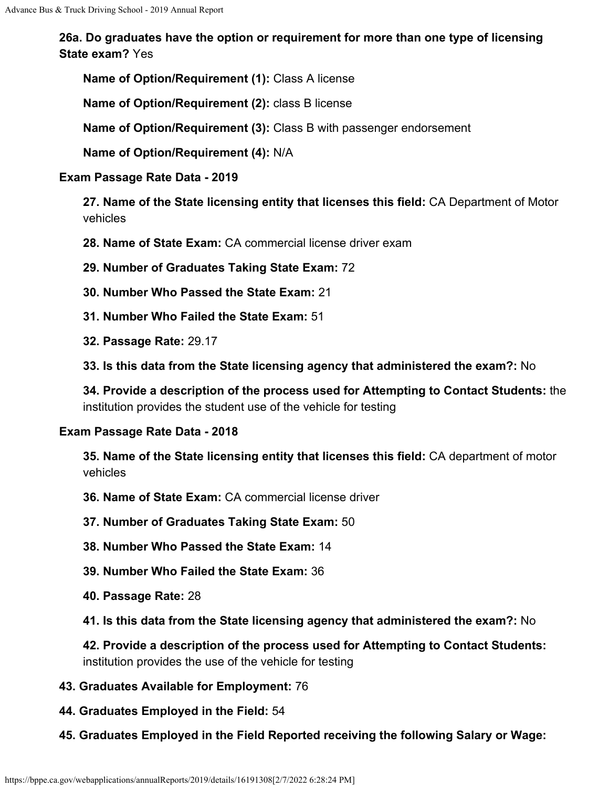**Name of Option/Requirement (1):** Class A license

**Name of Option/Requirement (2):** class B license

**Name of Option/Requirement (3):** Class B with passenger endorsement

**Name of Option/Requirement (4):** N/A

#### **Exam Passage Rate Data - 2019**

**27. Name of the State licensing entity that licenses this field:** CA Department of Motor vehicles

**28. Name of State Exam:** CA commercial license driver exam

**29. Number of Graduates Taking State Exam:** 72

- **30. Number Who Passed the State Exam:** 21
- **31. Number Who Failed the State Exam:** 51
- **32. Passage Rate:** 29.17

**33. Is this data from the State licensing agency that administered the exam?:** No

**34. Provide a description of the process used for Attempting to Contact Students:** the institution provides the student use of the vehicle for testing

#### **Exam Passage Rate Data - 2018**

**35. Name of the State licensing entity that licenses this field:** CA department of motor vehicles

**36. Name of State Exam:** CA commercial license driver

**37. Number of Graduates Taking State Exam:** 50

**38. Number Who Passed the State Exam:** 14

**39. Number Who Failed the State Exam:** 36

- **40. Passage Rate:** 28
- **41. Is this data from the State licensing agency that administered the exam?:** No

**42. Provide a description of the process used for Attempting to Contact Students:** institution provides the use of the vehicle for testing

- **43. Graduates Available for Employment:** 76
- **44. Graduates Employed in the Field:** 54
- **45. Graduates Employed in the Field Reported receiving the following Salary or Wage:**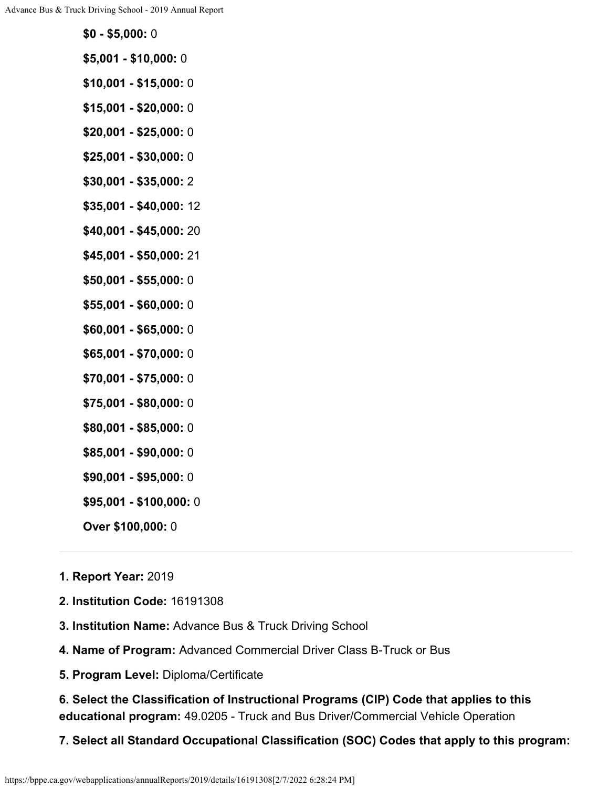- **\$5,001 \$10,000:** 0
- **\$10,001 \$15,000:** 0
- **\$15,001 \$20,000:** 0
- **\$20,001 \$25,000:** 0
- **\$25,001 \$30,000:** 0
- **\$30,001 \$35,000:** 2
- **\$35,001 \$40,000:** 12
- **\$40,001 \$45,000:** 20
- **\$45,001 \$50,000:** 21
- **\$50,001 \$55,000:** 0
- **\$55,001 \$60,000:** 0
- **\$60,001 \$65,000:** 0
- **\$65,001 \$70,000:** 0
- **\$70,001 \$75,000:** 0
- **\$75,001 \$80,000:** 0
- **\$80,001 \$85,000:** 0
- **\$85,001 \$90,000:** 0
- **\$90,001 \$95,000:** 0
- **\$95,001 \$100,000:** 0
- **Over \$100,000:** 0

#### **1. Report Year:** 2019

- **2. Institution Code:** 16191308
- **3. Institution Name:** Advance Bus & Truck Driving School
- **4. Name of Program:** Advanced Commercial Driver Class B-Truck or Bus
- **5. Program Level:** Diploma/Certificate

**6. Select the Classification of Instructional Programs (CIP) Code that applies to this educational program:** 49.0205 - Truck and Bus Driver/Commercial Vehicle Operation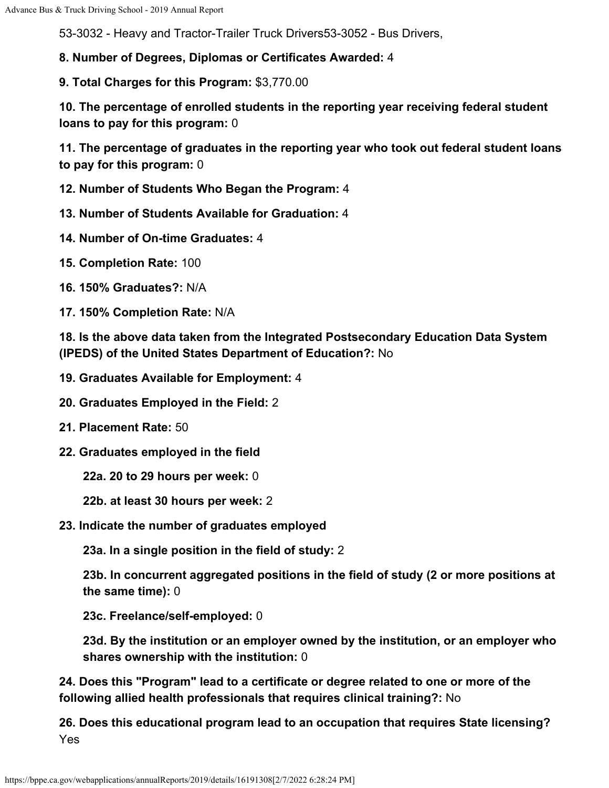53-3032 - Heavy and Tractor-Trailer Truck Drivers53-3052 - Bus Drivers,

**8. Number of Degrees, Diplomas or Certificates Awarded:** 4

**9. Total Charges for this Program:** \$3,770.00

**10. The percentage of enrolled students in the reporting year receiving federal student loans to pay for this program:** 0

**11. The percentage of graduates in the reporting year who took out federal student loans to pay for this program:** 0

**12. Number of Students Who Began the Program:** 4

**13. Number of Students Available for Graduation:** 4

**14. Number of On-time Graduates:** 4

**15. Completion Rate:** 100

**16. 150% Graduates?:** N/A

**17. 150% Completion Rate:** N/A

**18. Is the above data taken from the Integrated Postsecondary Education Data System (IPEDS) of the United States Department of Education?:** No

**19. Graduates Available for Employment:** 4

**20. Graduates Employed in the Field:** 2

**21. Placement Rate:** 50

**22. Graduates employed in the field**

**22a. 20 to 29 hours per week:** 0

**22b. at least 30 hours per week:** 2

**23. Indicate the number of graduates employed**

**23a. In a single position in the field of study:** 2

**23b. In concurrent aggregated positions in the field of study (2 or more positions at the same time):** 0

**23c. Freelance/self-employed:** 0

**23d. By the institution or an employer owned by the institution, or an employer who shares ownership with the institution:** 0

**24. Does this "Program" lead to a certificate or degree related to one or more of the following allied health professionals that requires clinical training?:** No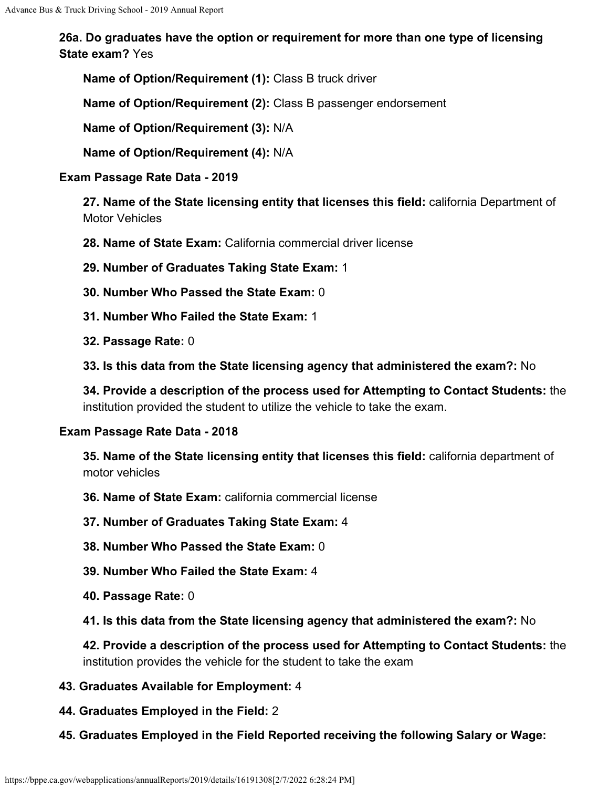**Name of Option/Requirement (1):** Class B truck driver

**Name of Option/Requirement (2):** Class B passenger endorsement

**Name of Option/Requirement (3):** N/A

**Name of Option/Requirement (4):** N/A

#### **Exam Passage Rate Data - 2019**

**27. Name of the State licensing entity that licenses this field:** california Department of Motor Vehicles

**28. Name of State Exam:** California commercial driver license

**29. Number of Graduates Taking State Exam:** 1

- **30. Number Who Passed the State Exam:** 0
- **31. Number Who Failed the State Exam:** 1
- **32. Passage Rate:** 0

**33. Is this data from the State licensing agency that administered the exam?:** No

**34. Provide a description of the process used for Attempting to Contact Students:** the institution provided the student to utilize the vehicle to take the exam.

#### **Exam Passage Rate Data - 2018**

**35. Name of the State licensing entity that licenses this field:** california department of motor vehicles

**36. Name of State Exam:** california commercial license

**37. Number of Graduates Taking State Exam:** 4

**38. Number Who Passed the State Exam:** 0

- **39. Number Who Failed the State Exam:** 4
- **40. Passage Rate:** 0
- **41. Is this data from the State licensing agency that administered the exam?:** No

**42. Provide a description of the process used for Attempting to Contact Students:** the institution provides the vehicle for the student to take the exam

- **43. Graduates Available for Employment:** 4
- **44. Graduates Employed in the Field:** 2
- **45. Graduates Employed in the Field Reported receiving the following Salary or Wage:**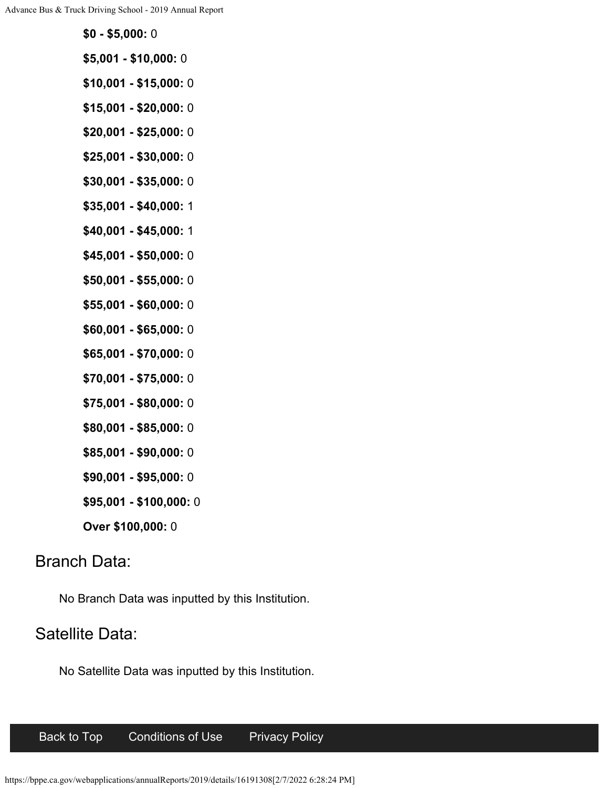- **\$5,001 \$10,000:** 0
- **\$10,001 \$15,000:** 0
- **\$15,001 \$20,000:** 0
- **\$20,001 \$25,000:** 0
- **\$25,001 \$30,000:** 0
- **\$30,001 \$35,000:** 0
- **\$35,001 \$40,000:** 1
- **\$40,001 \$45,000:** 1
- **\$45,001 \$50,000:** 0
- **\$50,001 \$55,000:** 0
- **\$55,001 \$60,000:** 0
- **\$60,001 \$65,000:** 0
- **\$65,001 \$70,000:** 0
- **\$70,001 \$75,000:** 0
- **\$75,001 \$80,000:** 0
- **\$80,001 \$85,000:** 0
- **\$85,001 \$90,000:** 0
- **\$90,001 \$95,000:** 0
- **\$95,001 \$100,000:** 0
- **Over \$100,000:** 0

# Branch Data:

No Branch Data was inputted by this Institution.

# Satellite Data:

No Satellite Data was inputted by this Institution.

## [Back to Top](#page-0-0) [Conditions of Use](https://www.ca.gov/use/) [Privacy Policy](http://www.dca.ca.gov/about_dca/privacy_policy.shtml)